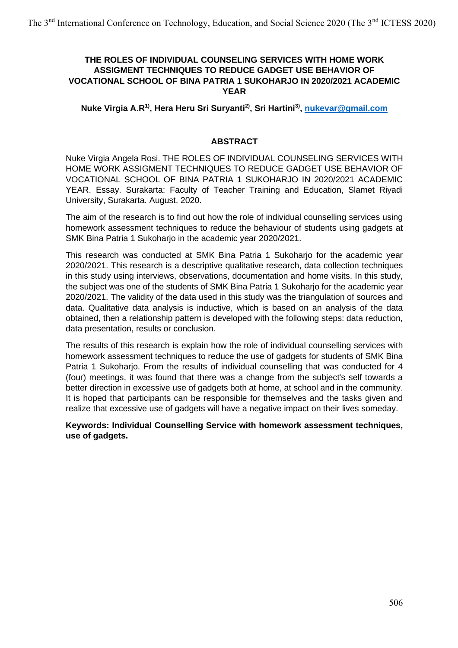## **THE ROLES OF INDIVIDUAL COUNSELING SERVICES WITH HOME WORK ASSIGMENT TECHNIQUES TO REDUCE GADGET USE BEHAVIOR OF VOCATIONAL SCHOOL OF BINA PATRIA 1 SUKOHARJO IN 2020/2021 ACADEMIC YEAR**

**Nuke Virgia A.R1) , Hera Heru Sri Suryanti2), Sri Hartini3) , [nukevar@gmail.com](mailto:nukevar@gmail.com)**

### **ABSTRACT**

Nuke Virgia Angela Rosi. THE ROLES OF INDIVIDUAL COUNSELING SERVICES WITH HOME WORK ASSIGMENT TECHNIQUES TO REDUCE GADGET USE BEHAVIOR OF VOCATIONAL SCHOOL OF BINA PATRIA 1 SUKOHARJO IN 2020/2021 ACADEMIC YEAR. Essay. Surakarta: Faculty of Teacher Training and Education, Slamet Riyadi University, Surakarta. August. 2020.

The aim of the research is to find out how the role of individual counselling services using homework assessment techniques to reduce the behaviour of students using gadgets at SMK Bina Patria 1 Sukoharjo in the academic year 2020/2021.

This research was conducted at SMK Bina Patria 1 Sukoharjo for the academic year 2020/2021. This research is a descriptive qualitative research, data collection techniques in this study using interviews, observations, documentation and home visits. In this study, the subject was one of the students of SMK Bina Patria 1 Sukoharjo for the academic year 2020/2021. The validity of the data used in this study was the triangulation of sources and data. Qualitative data analysis is inductive, which is based on an analysis of the data obtained, then a relationship pattern is developed with the following steps: data reduction, data presentation, results or conclusion.

The results of this research is explain how the role of individual counselling services with homework assessment techniques to reduce the use of gadgets for students of SMK Bina Patria 1 Sukoharjo. From the results of individual counselling that was conducted for 4 (four) meetings, it was found that there was a change from the subject's self towards a better direction in excessive use of gadgets both at home, at school and in the community. It is hoped that participants can be responsible for themselves and the tasks given and realize that excessive use of gadgets will have a negative impact on their lives someday.

**Keywords: Individual Counselling Service with homework assessment techniques, use of gadgets.**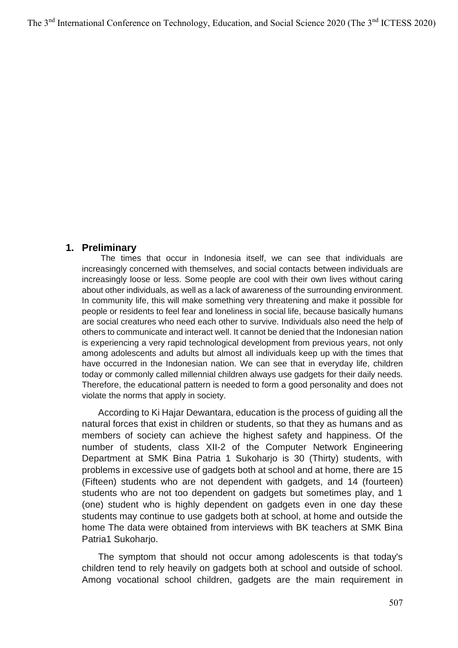## **1. Preliminary**

The times that occur in Indonesia itself, we can see that individuals are increasingly concerned with themselves, and social contacts between individuals are increasingly loose or less. Some people are cool with their own lives without caring about other individuals, as well as a lack of awareness of the surrounding environment. In community life, this will make something very threatening and make it possible for people or residents to feel fear and loneliness in social life, because basically humans are social creatures who need each other to survive. Individuals also need the help of others to communicate and interact well. It cannot be denied that the Indonesian nation is experiencing a very rapid technological development from previous years, not only among adolescents and adults but almost all individuals keep up with the times that have occurred in the Indonesian nation. We can see that in everyday life, children today or commonly called millennial children always use gadgets for their daily needs. Therefore, the educational pattern is needed to form a good personality and does not violate the norms that apply in society.

According to Ki Hajar Dewantara, education is the process of guiding all the natural forces that exist in children or students, so that they as humans and as members of society can achieve the highest safety and happiness. Of the number of students, class XII-2 of the Computer Network Engineering Department at SMK Bina Patria 1 Sukoharjo is 30 (Thirty) students, with problems in excessive use of gadgets both at school and at home, there are 15 (Fifteen) students who are not dependent with gadgets, and 14 (fourteen) students who are not too dependent on gadgets but sometimes play, and 1 (one) student who is highly dependent on gadgets even in one day these students may continue to use gadgets both at school, at home and outside the home The data were obtained from interviews with BK teachers at SMK Bina Patria1 Sukoharjo.

The symptom that should not occur among adolescents is that today's children tend to rely heavily on gadgets both at school and outside of school. Among vocational school children, gadgets are the main requirement in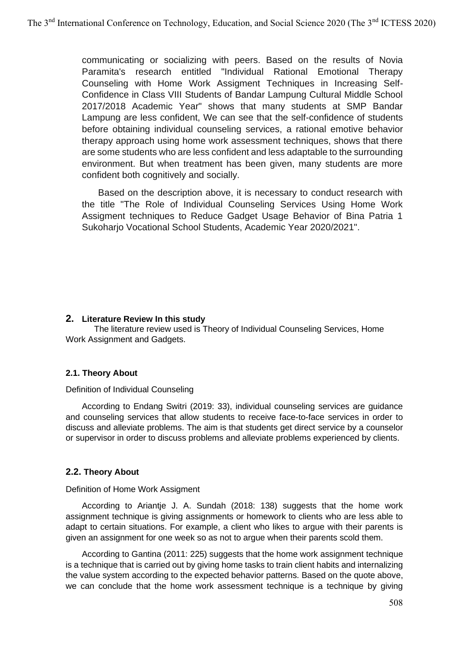communicating or socializing with peers. Based on the results of Novia Paramita's research entitled "Individual Rational Emotional Therapy Counseling with Home Work Assigment Techniques in Increasing Self-Confidence in Class VIII Students of Bandar Lampung Cultural Middle School 2017/2018 Academic Year" shows that many students at SMP Bandar Lampung are less confident, We can see that the self-confidence of students before obtaining individual counseling services, a rational emotive behavior therapy approach using home work assessment techniques, shows that there are some students who are less confident and less adaptable to the surrounding environment. But when treatment has been given, many students are more confident both cognitively and socially.

Based on the description above, it is necessary to conduct research with the title "The Role of Individual Counseling Services Using Home Work Assigment techniques to Reduce Gadget Usage Behavior of Bina Patria 1 Sukoharjo Vocational School Students, Academic Year 2020/2021".

## **2. Literature Review In this study**

 The literature review used is Theory of Individual Counseling Services, Home Work Assignment and Gadgets.

### **2.1. Theory About**

### Definition of Individual Counseling

According to Endang Switri (2019: 33), individual counseling services are guidance and counseling services that allow students to receive face-to-face services in order to discuss and alleviate problems. The aim is that students get direct service by a counselor or supervisor in order to discuss problems and alleviate problems experienced by clients.

### **2.2. Theory About**

### Definition of Home Work Assigment

According to Ariantje J. A. Sundah (2018: 138) suggests that the home work assignment technique is giving assignments or homework to clients who are less able to adapt to certain situations. For example, a client who likes to argue with their parents is given an assignment for one week so as not to argue when their parents scold them.

According to Gantina (2011: 225) suggests that the home work assignment technique is a technique that is carried out by giving home tasks to train client habits and internalizing the value system according to the expected behavior patterns. Based on the quote above, we can conclude that the home work assessment technique is a technique by giving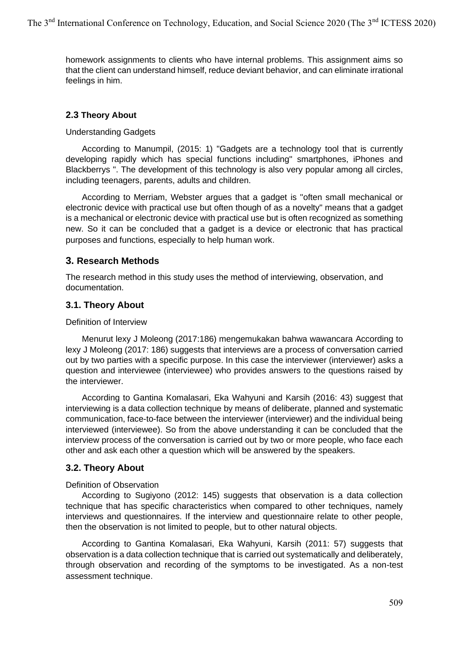homework assignments to clients who have internal problems. This assignment aims so that the client can understand himself, reduce deviant behavior, and can eliminate irrational feelings in him.

## **2.3 Theory About**

Understanding Gadgets

According to Manumpil, (2015: 1) "Gadgets are a technology tool that is currently developing rapidly which has special functions including" smartphones, iPhones and Blackberrys ". The development of this technology is also very popular among all circles, including teenagers, parents, adults and children.

According to Merriam, Webster argues that a gadget is "often small mechanical or electronic device with practical use but often though of as a novelty" means that a gadget is a mechanical or electronic device with practical use but is often recognized as something new. So it can be concluded that a gadget is a device or electronic that has practical purposes and functions, especially to help human work.

## **3. Research Methods**

The research method in this study uses the method of interviewing, observation, and documentation.

## **3.1. Theory About**

Definition of Interview

Menurut lexy J Moleong (2017:186) mengemukakan bahwa wawancara According to lexy J Moleong (2017: 186) suggests that interviews are a process of conversation carried out by two parties with a specific purpose. In this case the interviewer (interviewer) asks a question and interviewee (interviewee) who provides answers to the questions raised by the interviewer.

According to Gantina Komalasari, Eka Wahyuni and Karsih (2016: 43) suggest that interviewing is a data collection technique by means of deliberate, planned and systematic communication, face-to-face between the interviewer (interviewer) and the individual being interviewed (interviewee). So from the above understanding it can be concluded that the interview process of the conversation is carried out by two or more people, who face each other and ask each other a question which will be answered by the speakers.

## **3.2. Theory About**

### Definition of Observation

According to Sugiyono (2012: 145) suggests that observation is a data collection technique that has specific characteristics when compared to other techniques, namely interviews and questionnaires. If the interview and questionnaire relate to other people, then the observation is not limited to people, but to other natural objects.

According to Gantina Komalasari, Eka Wahyuni, Karsih (2011: 57) suggests that observation is a data collection technique that is carried out systematically and deliberately, through observation and recording of the symptoms to be investigated. As a non-test assessment technique.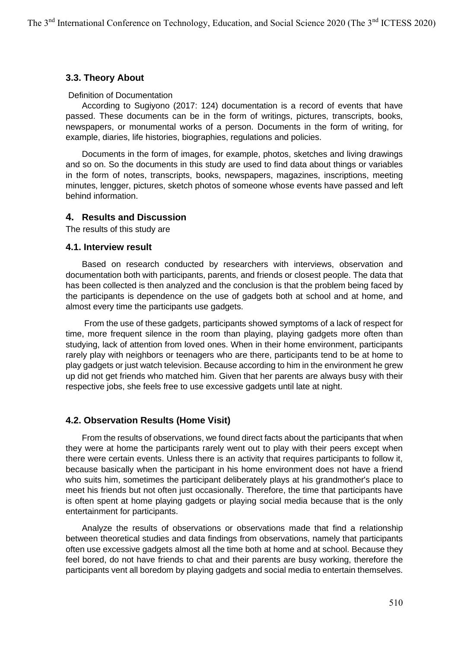## **3.3. Theory About**

#### Definition of Documentation

According to Sugiyono (2017: 124) documentation is a record of events that have passed. These documents can be in the form of writings, pictures, transcripts, books, newspapers, or monumental works of a person. Documents in the form of writing, for example, diaries, life histories, biographies, regulations and policies.

Documents in the form of images, for example, photos, sketches and living drawings and so on. So the documents in this study are used to find data about things or variables in the form of notes, transcripts, books, newspapers, magazines, inscriptions, meeting minutes, lengger, pictures, sketch photos of someone whose events have passed and left behind information.

## **4. Results and Discussion**

The results of this study are

### **4.1. Interview result**

Based on research conducted by researchers with interviews, observation and documentation both with participants, parents, and friends or closest people. The data that has been collected is then analyzed and the conclusion is that the problem being faced by the participants is dependence on the use of gadgets both at school and at home, and almost every time the participants use gadgets.

From the use of these gadgets, participants showed symptoms of a lack of respect for time, more frequent silence in the room than playing, playing gadgets more often than studying, lack of attention from loved ones. When in their home environment, participants rarely play with neighbors or teenagers who are there, participants tend to be at home to play gadgets or just watch television. Because according to him in the environment he grew up did not get friends who matched him. Given that her parents are always busy with their respective jobs, she feels free to use excessive gadgets until late at night.

## **4.2. Observation Results (Home Visit)**

From the results of observations, we found direct facts about the participants that when they were at home the participants rarely went out to play with their peers except when there were certain events. Unless there is an activity that requires participants to follow it, because basically when the participant in his home environment does not have a friend who suits him, sometimes the participant deliberately plays at his grandmother's place to meet his friends but not often just occasionally. Therefore, the time that participants have is often spent at home playing gadgets or playing social media because that is the only entertainment for participants.

Analyze the results of observations or observations made that find a relationship between theoretical studies and data findings from observations, namely that participants often use excessive gadgets almost all the time both at home and at school. Because they feel bored, do not have friends to chat and their parents are busy working, therefore the participants vent all boredom by playing gadgets and social media to entertain themselves.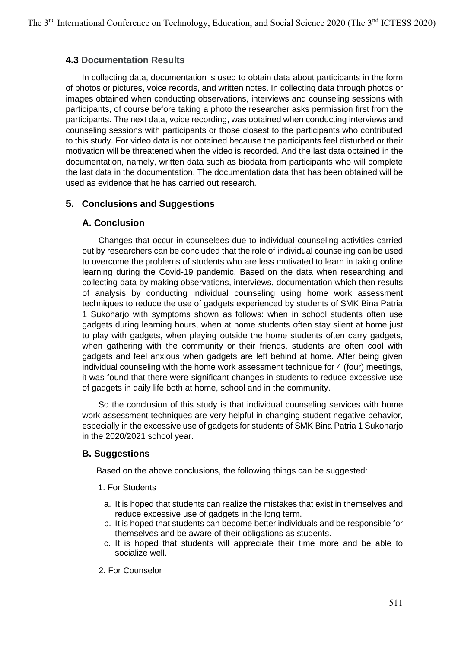## **4.3 Documentation Results**

In collecting data, documentation is used to obtain data about participants in the form of photos or pictures, voice records, and written notes. In collecting data through photos or images obtained when conducting observations, interviews and counseling sessions with participants, of course before taking a photo the researcher asks permission first from the participants. The next data, voice recording, was obtained when conducting interviews and counseling sessions with participants or those closest to the participants who contributed to this study. For video data is not obtained because the participants feel disturbed or their motivation will be threatened when the video is recorded. And the last data obtained in the documentation, namely, written data such as biodata from participants who will complete the last data in the documentation. The documentation data that has been obtained will be used as evidence that he has carried out research.

## **5. Conclusions and Suggestions**

### **A. Conclusion**

Changes that occur in counselees due to individual counseling activities carried out by researchers can be concluded that the role of individual counseling can be used to overcome the problems of students who are less motivated to learn in taking online learning during the Covid-19 pandemic. Based on the data when researching and collecting data by making observations, interviews, documentation which then results of analysis by conducting individual counseling using home work assessment techniques to reduce the use of gadgets experienced by students of SMK Bina Patria 1 Sukoharjo with symptoms shown as follows: when in school students often use gadgets during learning hours, when at home students often stay silent at home just to play with gadgets, when playing outside the home students often carry gadgets, when gathering with the community or their friends, students are often cool with gadgets and feel anxious when gadgets are left behind at home. After being given individual counseling with the home work assessment technique for 4 (four) meetings, it was found that there were significant changes in students to reduce excessive use of gadgets in daily life both at home, school and in the community.

So the conclusion of this study is that individual counseling services with home work assessment techniques are very helpful in changing student negative behavior, especially in the excessive use of gadgets for students of SMK Bina Patria 1 Sukoharjo in the 2020/2021 school year.

### **B. Suggestions**

Based on the above conclusions, the following things can be suggested:

### 1. For Students

- a. It is hoped that students can realize the mistakes that exist in themselves and reduce excessive use of gadgets in the long term.
- b. It is hoped that students can become better individuals and be responsible for themselves and be aware of their obligations as students.
- c. It is hoped that students will appreciate their time more and be able to socialize well.
- 2. For Counselor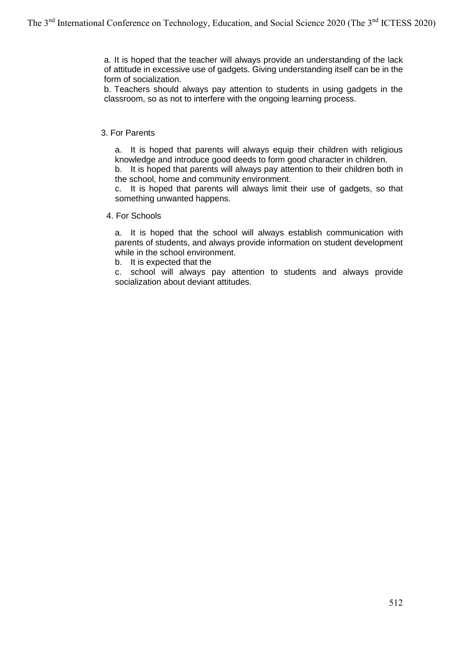a. It is hoped that the teacher will always provide an understanding of the lack of attitude in excessive use of gadgets. Giving understanding itself can be in the form of socialization.

b. Teachers should always pay attention to students in using gadgets in the classroom, so as not to interfere with the ongoing learning process.

#### 3. For Parents

a. It is hoped that parents will always equip their children with religious knowledge and introduce good deeds to form good character in children.

b. It is hoped that parents will always pay attention to their children both in the school, home and community environment.

c. It is hoped that parents will always limit their use of gadgets, so that something unwanted happens.

#### 4. For Schools

a. It is hoped that the school will always establish communication with parents of students, and always provide information on student development while in the school environment.

b. It is expected that the

c. school will always pay attention to students and always provide socialization about deviant attitudes.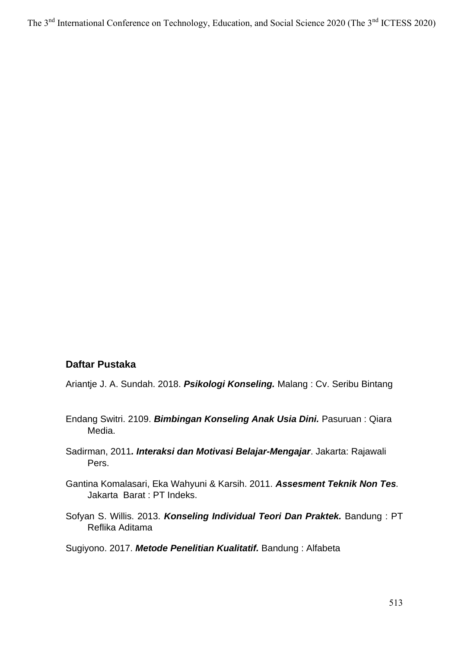The 3<sup>nd</sup> International Conference on Technology, Education, and Social Science 2020 (The 3<sup>nd</sup> ICTESS 2020)

# **Daftar Pustaka**

Ariantje J. A. Sundah. 2018. *Psikologi Konseling.* Malang : Cv. Seribu Bintang

- Endang Switri. 2109. *Bimbingan Konseling Anak Usia Dini.* Pasuruan : Qiara Media.
- Sadirman, 2011*. Interaksi dan Motivasi Belajar-Mengajar*. Jakarta: Rajawali Pers.
- Gantina Komalasari, Eka Wahyuni & Karsih. 2011. *Assesment Teknik Non Tes.*  Jakarta Barat : PT Indeks.
- Sofyan S. Willis. 2013. *Konseling Individual Teori Dan Praktek.* Bandung : PT Reflika Aditama

Sugiyono. 2017. *Metode Penelitian Kualitatif.* Bandung : Alfabeta